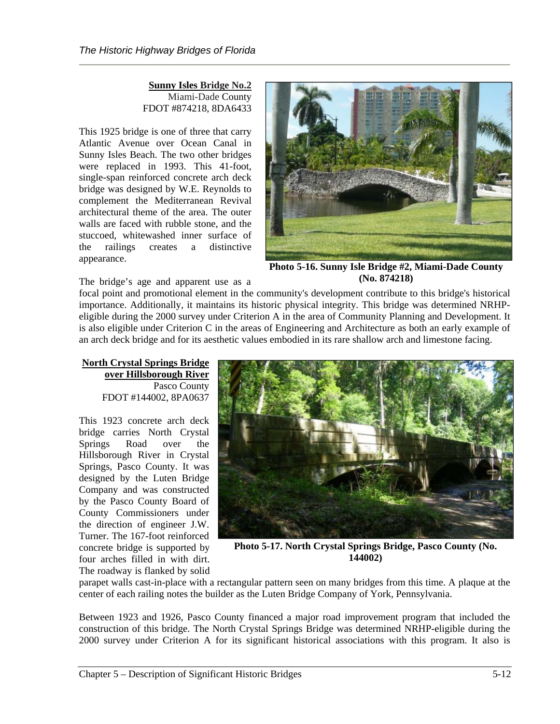**Sunny Isles Bridge No.2** Miami-Dade County FDOT #874218, 8DA6433

This 1925 bridge is one of three that carry Atlantic Avenue over Ocean Canal in Sunny Isles Beach. The two other bridges were replaced in 1993. This 41-foot, single-span reinforced concrete arch deck bridge was designed by W.E. Reynolds to complement the Mediterranean Revival architectural theme of the area. The outer walls are faced with rubble stone, and the stuccoed, whitewashed inner surface of the railings creates a distinctive appearance.



**Photo 5-16. Sunny Isle Bridge #2, Miami-Dade County (No. 874218)**

The bridge's age and apparent use as a

focal point and promotional element in the community's development contribute to this bridge's historical importance. Additionally, it maintains its historic physical integrity. This bridge was determined NRHPeligible during the 2000 survey under Criterion A in the area of Community Planning and Development. It is also eligible under Criterion C in the areas of Engineering and Architecture as both an early example of an arch deck bridge and for its aesthetic values embodied in its rare shallow arch and limestone facing.

**North Crystal Springs Bridge over Hillsborough River** Pasco County FDOT #144002, 8PA0637

This 1923 concrete arch deck bridge carries North Crystal Springs Road over the Hillsborough River in Crystal Springs, Pasco County. It was designed by the Luten Bridge Company and was constructed by the Pasco County Board of County Commissioners under the direction of engineer J.W. Turner. The 167-foot reinforced concrete bridge is supported by four arches filled in with dirt. The roadway is flanked by solid



**Photo 5-17. North Crystal Springs Bridge, Pasco County (No. 144002)**

parapet walls cast-in-place with a rectangular pattern seen on many bridges from this time. A plaque at the center of each railing notes the builder as the Luten Bridge Company of York, Pennsylvania.

Between 1923 and 1926, Pasco County financed a major road improvement program that included the construction of this bridge. The North Crystal Springs Bridge was determined NRHP-eligible during the 2000 survey under Criterion A for its significant historical associations with this program. It also is